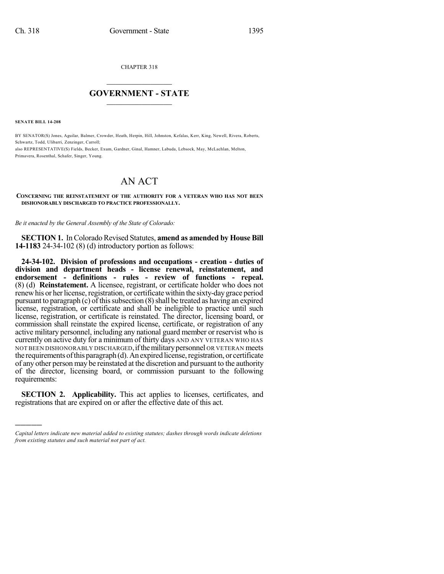CHAPTER 318

## $\overline{\phantom{a}}$  . The set of the set of the set of the set of the set of the set of the set of the set of the set of the set of the set of the set of the set of the set of the set of the set of the set of the set of the set o **GOVERNMENT - STATE**  $\_$

**SENATE BILL 14-208**

)))))

BY SENATOR(S) Jones, Aguilar, Balmer, Crowder, Heath, Herpin, Hill, Johnston, Kefalas, Kerr, King, Newell, Rivera, Roberts, Schwartz, Todd, Ulibarri, Zenzinger, Carroll; also REPRESENTATIVE(S) Fields, Becker, Exum, Gardner, Ginal, Hamner, Labuda, Lebsock, May, McLachlan, Melton, Primavera, Rosenthal, Schafer, Singer, Young.

## AN ACT

**CONCERNING THE REINSTATEMENT OF THE AUTHORITY FOR A VETERAN WHO HAS NOT BEEN DISHONORABLY DISCHARGED TO PRACTICE PROFESSIONALLY.**

*Be it enacted by the General Assembly of the State of Colorado:*

**SECTION 1.** In Colorado Revised Statutes, **amend** as **amended** by **House Bill 14-1183** 24-34-102 (8) (d) introductory portion as follows:

**24-34-102. Division of professions and occupations - creation - duties of division and department heads - license renewal, reinstatement, and endorsement - definitions - rules - review of functions - repeal.** (8) (d) **Reinstatement.** A licensee, registrant, or certificate holder who does not renew his or her license, registration, or certificate within the sixty-day grace period pursuant to paragraph  $(c)$  of this subsection  $(8)$  shall be treated as having an expired license, registration, or certificate and shall be ineligible to practice until such license, registration, or certificate is reinstated. The director, licensing board, or commission shall reinstate the expired license, certificate, or registration of any active military personnel, including any national guard member or reservist who is currently on active duty for a minimum of thirty days AND ANY VETERAN WHO HAS NOT BEEN DISHONORABLY DISCHARGED, if the military personnel OR VETERAN meets the requirements of this paragraph (d). An expired license, registration, or certificate of any other person may be reinstated at the discretion and pursuant to the authority of the director, licensing board, or commission pursuant to the following requirements:

**SECTION 2. Applicability.** This act applies to licenses, certificates, and registrations that are expired on or after the effective date of this act.

*Capital letters indicate new material added to existing statutes; dashes through words indicate deletions from existing statutes and such material not part of act.*